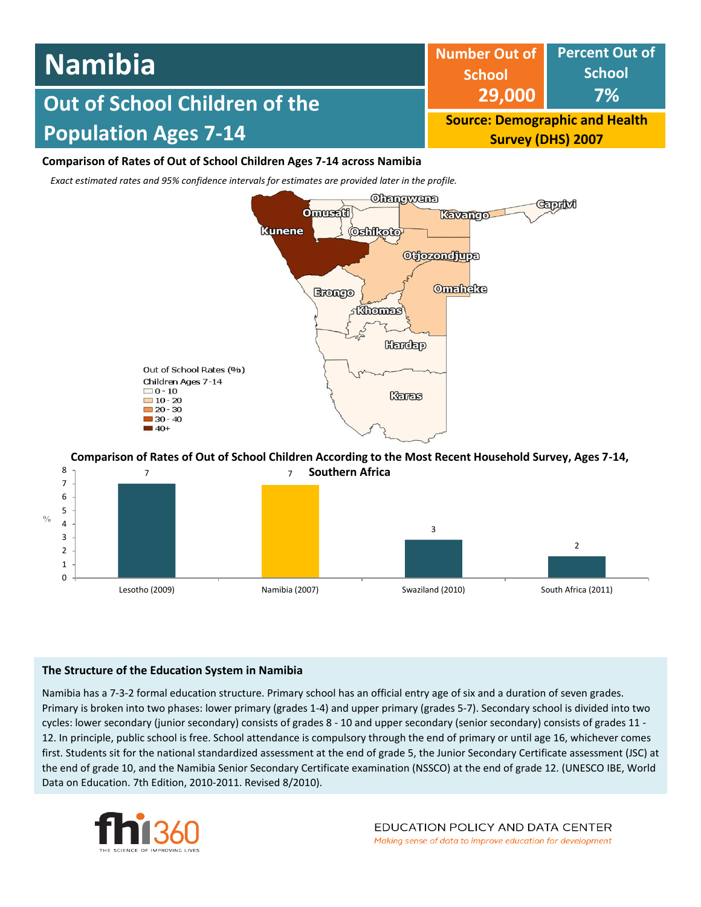#### **Percent Out of School 7% Number Out of School 29,000 Source: Demographic and Health Survey (DHS) 2007 Out of School Children of the Population Ages 7-14 Namibia Comparison of Rates of Out of School Children Ages 7-14 across Namibia**

*Exact estimated rates and 95% confidence intervals for estimates are provided later in the profile.* 



#### 7 7 8 **Comparison of Rates of Out of School Children According to the Most Recent Household Survey, Ages 7-14, Southern Africa**



# **The Structure of the Education System in Namibia**

Namibia has a 7-3-2 formal education structure. Primary school has an official entry age of six and a duration of seven grades. Primary is broken into two phases: lower primary (grades 1-4) and upper primary (grades 5-7). Secondary school is divided into two cycles: lower secondary (junior secondary) consists of grades 8 - 10 and upper secondary (senior secondary) consists of grades 11 - 12. In principle, public school is free. School attendance is compulsory through the end of primary or until age 16, whichever comes first. Students sit for the national standardized assessment at the end of grade 5, the Junior Secondary Certificate assessment (JSC) at the end of grade 10, and the Namibia Senior Secondary Certificate examination (NSSCO) at the end of grade 12. (UNESCO IBE, World Data on Education. 7th Edition, 2010-2011. Revised 8/2010).

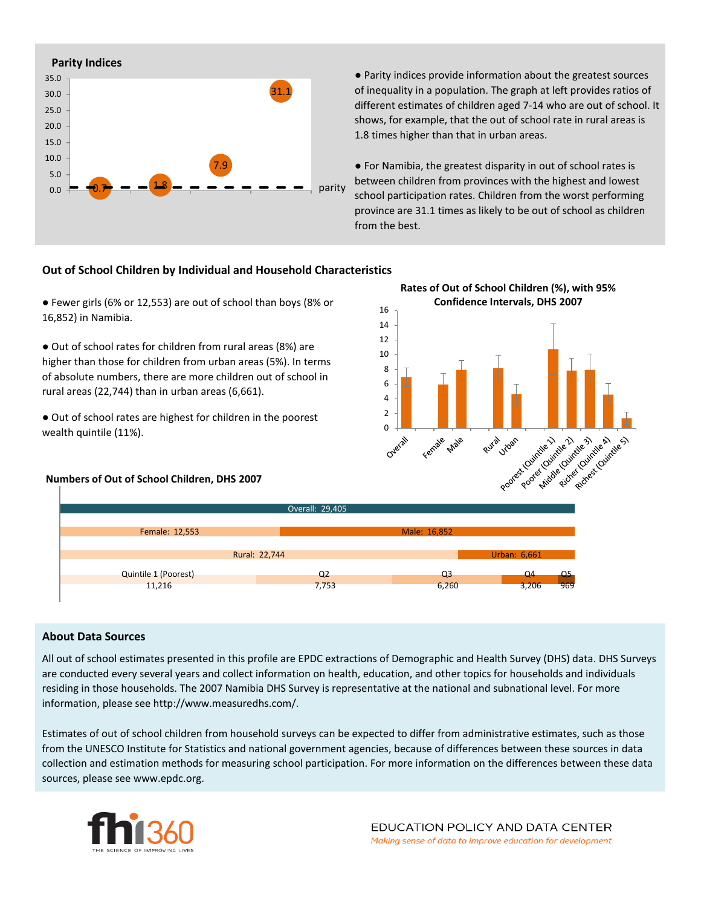

● Parity indices provide information about the greatest sources of inequality in a population. The graph at left provides ratios of different estimates of children aged 7-14 who are out of school. It shows, for example, that the out of school rate in rural areas is 1.8 times higher than that in urban areas.

● For Namibia, the greatest disparity in out of school rates is between children from provinces with the highest and lowest school participation rates. Children from the worst performing province are 31.1 times as likely to be out of school as children from the best.

### **Out of School Children by Individual and Household Characteristics**

● Fewer girls (6% or 12,553) are out of school than boys (8% or 16,852) in Namibia.

● Out of school rates for children from rural areas (8%) are higher than those for children from urban areas (5%). In terms of absolute numbers, there are more children out of school in rural areas (22,744) than in urban areas (6,661).

● Out of school rates are highest for children in the poorest wealth quintile (11%).

#### **Numbers of Out of School Children, DHS 2007**





#### **About Data Sources**

All out of school estimates presented in this profile are EPDC extractions of Demographic and Health Survey (DHS) data. DHS Surveys are conducted every several years and collect information on health, education, and other topics for households and individuals residing in those households. The 2007 Namibia DHS Survey is representative at the national and subnational level. For more information, please see http://www.measuredhs.com/.

Estimates of out of school children from household surveys can be expected to differ from administrative estimates, such as those from the UNESCO Institute for Statistics and national government agencies, because of differences between these sources in data collection and estimation methods for measuring school participation. For more information on the differences between these data sources, please see www.epdc.org.

![](_page_1_Picture_13.jpeg)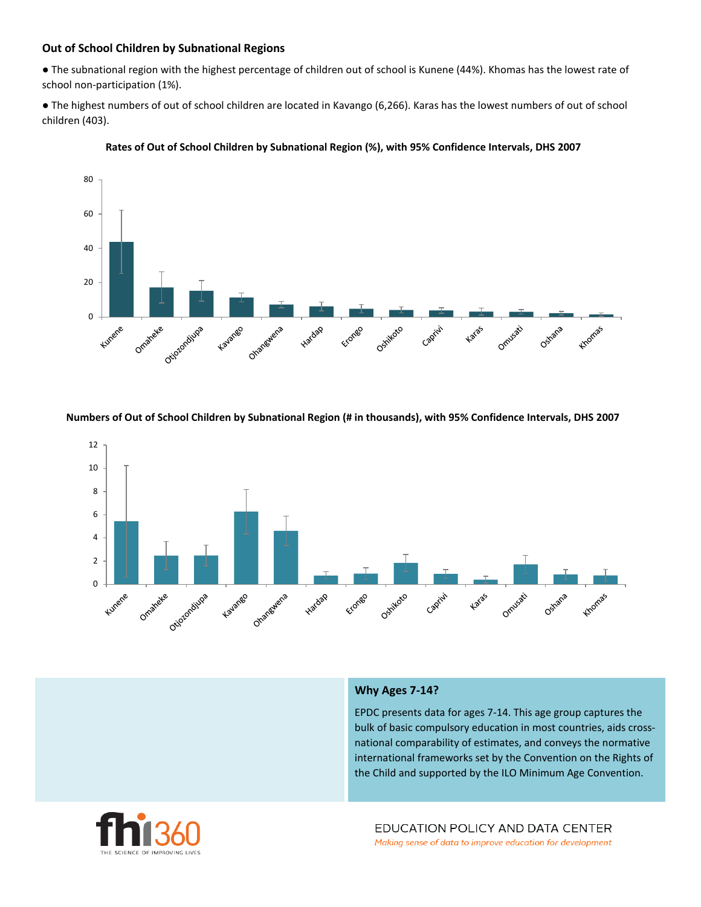## **Out of School Children by Subnational Regions**

● The subnational region with the highest percentage of children out of school is Kunene (44%). Khomas has the lowest rate of school non-participation (1%).

● The highest numbers of out of school children are located in Kavango (6,266). Karas has the lowest numbers of out of school children (403).

![](_page_2_Figure_3.jpeg)

![](_page_2_Figure_4.jpeg)

**Numbers of Out of School Children by Subnational Region (# in thousands), with 95% Confidence Intervals, DHS 2007**

![](_page_2_Figure_6.jpeg)

#### **Why Ages 7-14?**

EPDC presents data for ages 7-14. This age group captures the bulk of basic compulsory education in most countries, aids crossnational comparability of estimates, and conveys the normative international frameworks set by the Convention on the Rights of the Child and supported by the ILO Minimum Age Convention.

![](_page_2_Picture_9.jpeg)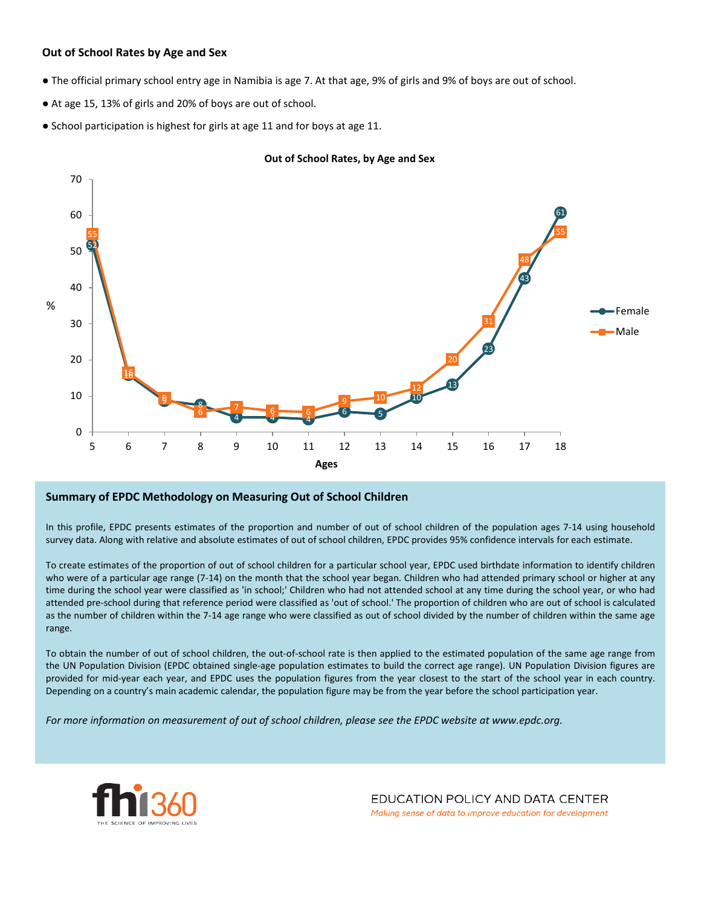## **Out of School Rates by Age and Sex**

- The official primary school entry age in Namibia is age 7. At that age, 9% of girls and 9% of boys are out of school.
- At age 15, 13% of girls and 20% of boys are out of school.
- School participation is highest for girls at age 11 and for boys at age 11.

![](_page_3_Figure_4.jpeg)

#### **Out of School Rates, by Age and Sex**

#### **Summary of EPDC Methodology on Measuring Out of School Children**

In this profile, EPDC presents estimates of the proportion and number of out of school children of the population ages 7-14 using household survey data. Along with relative and absolute estimates of out of school children, EPDC provides 95% confidence intervals for each estimate.

To create estimates of the proportion of out of school children for a particular school year, EPDC used birthdate information to identify children who were of a particular age range (7-14) on the month that the school year began. Children who had attended primary school or higher at any time during the school year were classified as 'in school;' Children who had not attended school at any time during the school year, or who had attended pre-school during that reference period were classified as 'out of school.' The proportion of children who are out of school is calculated as the number of children within the 7-14 age range who were classified as out of school divided by the number of children within the same age range.

To obtain the number of out of school children, the out-of-school rate is then applied to the estimated population of the same age range from the UN Population Division (EPDC obtained single-age population estimates to build the correct age range). UN Population Division figures are provided for mid-year each year, and EPDC uses the population figures from the year closest to the start of the school year in each country. Depending on a country's main academic calendar, the population figure may be from the year before the school participation year.

For more information on measurement of out of school children, please see the EPDC website at www.epdc.org.

![](_page_3_Picture_11.jpeg)

EDUCATION POLICY AND DATA CENTER Making sense of data to improve education for development